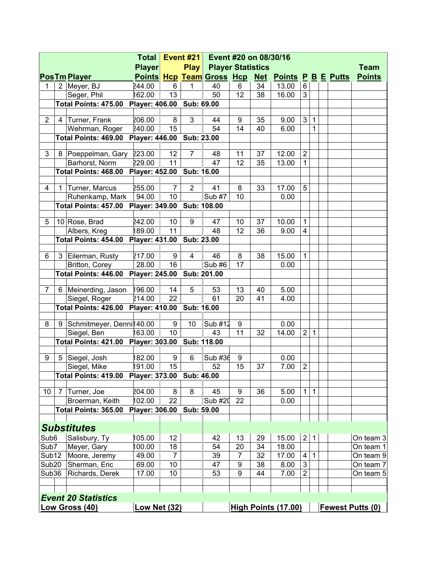| <b>Player</b><br><b>Play</b><br><b>Player Statistics</b><br><b>Points Hcp Team Gross Hcp</b><br><b>Net Points P B E Putts</b><br>2 Meyer, BJ<br>40<br>244.00<br>34<br>13.00<br>6<br>1<br>6<br>6<br>1<br>13<br>162.00<br>50<br>12<br>38<br>3<br>Seger, Phil<br>16.00<br><b>Player: 406.00</b><br>Sub: 69.00<br>Total Points: 475.00<br>Turner, Frank<br>206.00<br>8<br>3<br>3<br>$\overline{2}$<br>44<br>35<br>9.00<br>9<br>1<br>4<br>15<br>54<br>14<br>240.00<br>40<br>$\mathbf 1$<br>Wehrman, Roger<br>6.00<br>Player: 446.00<br>Total Points: 469.00<br>Sub: 23.00 | Team<br><b>Points</b> |  |  |  |  |
|----------------------------------------------------------------------------------------------------------------------------------------------------------------------------------------------------------------------------------------------------------------------------------------------------------------------------------------------------------------------------------------------------------------------------------------------------------------------------------------------------------------------------------------------------------------------|-----------------------|--|--|--|--|
| <b>PosTm Player</b>                                                                                                                                                                                                                                                                                                                                                                                                                                                                                                                                                  |                       |  |  |  |  |
|                                                                                                                                                                                                                                                                                                                                                                                                                                                                                                                                                                      |                       |  |  |  |  |
|                                                                                                                                                                                                                                                                                                                                                                                                                                                                                                                                                                      |                       |  |  |  |  |
|                                                                                                                                                                                                                                                                                                                                                                                                                                                                                                                                                                      |                       |  |  |  |  |
|                                                                                                                                                                                                                                                                                                                                                                                                                                                                                                                                                                      |                       |  |  |  |  |
|                                                                                                                                                                                                                                                                                                                                                                                                                                                                                                                                                                      |                       |  |  |  |  |
|                                                                                                                                                                                                                                                                                                                                                                                                                                                                                                                                                                      |                       |  |  |  |  |
|                                                                                                                                                                                                                                                                                                                                                                                                                                                                                                                                                                      |                       |  |  |  |  |
| $\overline{2}$<br>223.00<br>12<br>$\overline{7}$<br>12.00<br>3<br>Poeppelman, Gary<br>48<br>11<br>37<br>8                                                                                                                                                                                                                                                                                                                                                                                                                                                            |                       |  |  |  |  |
| 11<br>47<br>12<br>229.00<br>35<br>13.00<br>$\mathbf{1}$<br>Barhorst, Norm                                                                                                                                                                                                                                                                                                                                                                                                                                                                                            |                       |  |  |  |  |
| Total Points: 468.00 Player: 452.00 Sub: 16.00                                                                                                                                                                                                                                                                                                                                                                                                                                                                                                                       |                       |  |  |  |  |
| Turner, Marcus<br>255.00<br>$\overline{7}$<br>$\overline{2}$<br>41<br>8<br>33<br>17.00<br>5<br>4<br>1                                                                                                                                                                                                                                                                                                                                                                                                                                                                |                       |  |  |  |  |
| 10<br><b>Sub #7</b><br>94.00<br>10<br>Ruhenkamp, Mark<br>0.00                                                                                                                                                                                                                                                                                                                                                                                                                                                                                                        |                       |  |  |  |  |
| Total Points: 457.00 Player: 349.00 Sub: 108.00                                                                                                                                                                                                                                                                                                                                                                                                                                                                                                                      |                       |  |  |  |  |
|                                                                                                                                                                                                                                                                                                                                                                                                                                                                                                                                                                      |                       |  |  |  |  |
| 10 Rose, Brad<br>242.00<br>10<br>9<br>37<br>10.00<br>$\mathbf{1}$<br>5<br>47<br>10                                                                                                                                                                                                                                                                                                                                                                                                                                                                                   |                       |  |  |  |  |
| 189.00<br>11<br>12<br>Albers, Kreg<br>48<br>36<br>9.00<br>$\overline{\mathbf{4}}$                                                                                                                                                                                                                                                                                                                                                                                                                                                                                    |                       |  |  |  |  |
| Total Points: 454.00 Player: 431.00<br>Sub: 23.00                                                                                                                                                                                                                                                                                                                                                                                                                                                                                                                    |                       |  |  |  |  |
| 217.00<br>8<br>38<br>15.00<br>3 Eilerman, Rusty<br>9<br>$\overline{4}$<br>46<br>$\mathbf{1}$<br>6                                                                                                                                                                                                                                                                                                                                                                                                                                                                    |                       |  |  |  |  |
| 28.00<br>16<br>Sub #6<br>17<br>Britton, Corey<br>0.00                                                                                                                                                                                                                                                                                                                                                                                                                                                                                                                |                       |  |  |  |  |
| Total Points: 446.00<br><b>Player: 245.00</b><br>Sub: 201.00                                                                                                                                                                                                                                                                                                                                                                                                                                                                                                         |                       |  |  |  |  |
|                                                                                                                                                                                                                                                                                                                                                                                                                                                                                                                                                                      |                       |  |  |  |  |
| 6 Meinerding, Jason<br>196.00<br>5.00<br>5<br>53<br>13<br>7<br>14<br>40                                                                                                                                                                                                                                                                                                                                                                                                                                                                                              |                       |  |  |  |  |
| 22<br>214.00<br>61<br>20<br>41<br>Siegel, Roger<br>4.00                                                                                                                                                                                                                                                                                                                                                                                                                                                                                                              |                       |  |  |  |  |
| Total Points: 426.00 Player: 410.00<br>Sub: 16.00                                                                                                                                                                                                                                                                                                                                                                                                                                                                                                                    |                       |  |  |  |  |
| Sub #12<br>8<br>Schmitmeyer, Denni140.00<br>9<br>10<br>9<br>0.00<br>9                                                                                                                                                                                                                                                                                                                                                                                                                                                                                                |                       |  |  |  |  |
| 163.00<br>10<br>11<br>32<br>14.00<br>$\overline{2}$<br>43<br>$\mathbf 1$<br>Siegel, Ben                                                                                                                                                                                                                                                                                                                                                                                                                                                                              |                       |  |  |  |  |
| Total Points: 421.00 Player: 303.00<br>Sub: 118.00                                                                                                                                                                                                                                                                                                                                                                                                                                                                                                                   |                       |  |  |  |  |
|                                                                                                                                                                                                                                                                                                                                                                                                                                                                                                                                                                      |                       |  |  |  |  |
| Siegel, Josh<br>182.00<br>9<br>6<br>Sub #36<br>9<br>0.00<br>9<br>5                                                                                                                                                                                                                                                                                                                                                                                                                                                                                                   |                       |  |  |  |  |
| $\boldsymbol{2}$<br>15<br>15<br>7.00<br>Siegel, Mike<br>191.00<br>52<br>37                                                                                                                                                                                                                                                                                                                                                                                                                                                                                           |                       |  |  |  |  |
| Total Points: 419.00   Player: 373.00   Sub: 46.00                                                                                                                                                                                                                                                                                                                                                                                                                                                                                                                   |                       |  |  |  |  |
| 204.00<br>8<br>8<br>36<br>$\mathbf{1}$<br>10 <sup>°</sup><br>Turner, Joe<br>45<br>9<br>5.00<br>$\mathbf{1}$<br>7                                                                                                                                                                                                                                                                                                                                                                                                                                                     |                       |  |  |  |  |
| 22<br>102.00<br>22<br>Sub #20<br>Broerman, Keith<br>0.00                                                                                                                                                                                                                                                                                                                                                                                                                                                                                                             |                       |  |  |  |  |
| Total Points: 365.00<br>Player: 306.00<br>Sub: 59.00                                                                                                                                                                                                                                                                                                                                                                                                                                                                                                                 |                       |  |  |  |  |
|                                                                                                                                                                                                                                                                                                                                                                                                                                                                                                                                                                      |                       |  |  |  |  |
| <b>Substitutes</b>                                                                                                                                                                                                                                                                                                                                                                                                                                                                                                                                                   |                       |  |  |  |  |
| 105.00<br>$\overline{2}$<br>Sub <sub>6</sub><br>Salisbury, Ty<br>12<br>42<br>13<br>29<br>15.00<br>$\mathbf{1}$                                                                                                                                                                                                                                                                                                                                                                                                                                                       | On team 3             |  |  |  |  |
| 100.00<br>18<br>34<br>Sub7<br>Meyer, Gary<br>54<br>20<br>18.00                                                                                                                                                                                                                                                                                                                                                                                                                                                                                                       | On team 1             |  |  |  |  |
| $\overline{7}$<br>$\mathbf{1}$<br>Sub12<br>Moore, Jeremy<br>49.00<br>39<br>$\overline{7}$<br>32<br>17.00<br>4                                                                                                                                                                                                                                                                                                                                                                                                                                                        | On team 9             |  |  |  |  |
| 3<br>10<br>Sub20<br>Sherman, Eric<br>69.00<br>47<br>9<br>38<br>8.00                                                                                                                                                                                                                                                                                                                                                                                                                                                                                                  | On team 7             |  |  |  |  |
| $\overline{2}$<br>Sub36<br>Richards, Derek<br>17.00<br>10<br>53<br>9<br>7.00<br>44                                                                                                                                                                                                                                                                                                                                                                                                                                                                                   | On team 5             |  |  |  |  |
|                                                                                                                                                                                                                                                                                                                                                                                                                                                                                                                                                                      |                       |  |  |  |  |
| <b>Event 20 Statistics</b>                                                                                                                                                                                                                                                                                                                                                                                                                                                                                                                                           |                       |  |  |  |  |
| <b>Low Net (32)</b><br><b>High Points (17.00)</b><br><b>Fewest Putts (0)</b><br><u>Low Gross (40)</u>                                                                                                                                                                                                                                                                                                                                                                                                                                                                |                       |  |  |  |  |